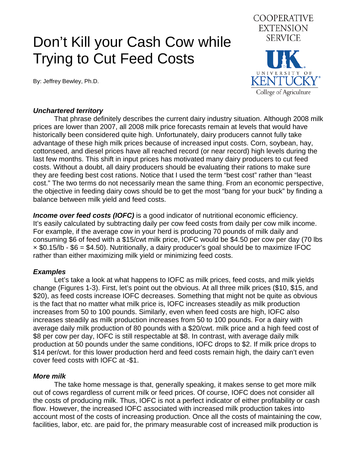# Don't Kill your Cash Cow while Trying to Cut Feed Costs

By: Jeffrey Bewley, Ph.D.



#### *Unchartered territory*

 That phrase definitely describes the current dairy industry situation. Although 2008 milk prices are lower than 2007, all 2008 milk price forecasts remain at levels that would have historically been considered quite high. Unfortunately, dairy producers cannot fully take advantage of these high milk prices because of increased input costs. Corn, soybean, hay, cottonseed, and diesel prices have all reached record (or near record) high levels during the last few months. This shift in input prices has motivated many dairy producers to cut feed costs. Without a doubt, all dairy producers should be evaluating their rations to make sure they are feeding best cost rations. Notice that I used the term "best cost" rather than "least cost." The two terms do not necessarily mean the same thing. From an economic perspective, the objective in feeding dairy cows should be to get the most "bang for your buck" by finding a balance between milk yield and feed costs.

**Income over feed costs (IOFC)** is a good indicator of nutritional economic efficiency. It's easily calculated by subtracting daily per cow feed costs from daily per cow milk income. For example, if the average cow in your herd is producing 70 pounds of milk daily and consuming \$6 of feed with a \$15/cwt milk price, IOFC would be \$4.50 per cow per day (70 lbs  $\times$  \$0.15/lb - \$6 = \$4.50). Nutritionally, a dairy producer's goal should be to maximize IFOC rather than either maximizing milk yield or minimizing feed costs.

### *Examples*

 Let's take a look at what happens to IOFC as milk prices, feed costs, and milk yields change (Figures 1-3). First, let's point out the obvious. At all three milk prices (\$10, \$15, and \$20), as feed costs increase IOFC decreases. Something that might not be quite as obvious is the fact that no matter what milk price is, IOFC increases steadily as milk production increases from 50 to 100 pounds. Similarly, even when feed costs are high, IOFC also increases steadily as milk production increases from 50 to 100 pounds. For a dairy with average daily milk production of 80 pounds with a \$20/cwt. milk price and a high feed cost of \$8 per cow per day, IOFC is still respectable at \$8. In contrast, with average daily milk production at 50 pounds under the same conditions, IOFC drops to \$2. If milk price drops to \$14 per/cwt. for this lower production herd and feed costs remain high, the dairy can't even cover feed costs with IOFC at -\$1.

# *More milk*

 The take home message is that, generally speaking, it makes sense to get more milk out of cows regardless of current milk or feed prices. Of course, IOFC does not consider all the costs of producing milk. Thus, IOFC is not a perfect indicator of either profitability or cash flow. However, the increased IOFC associated with increased milk production takes into account most of the costs of increasing production. Once all the costs of maintaining the cow, facilities, labor, etc. are paid for, the primary measurable cost of increased milk production is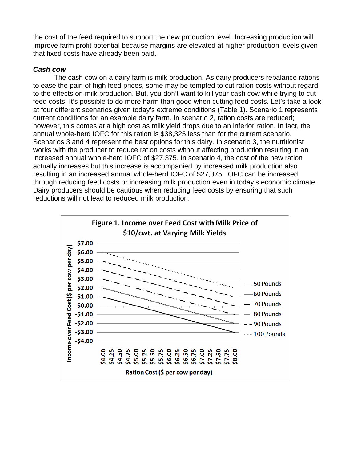the cost of the feed required to support the new production level. Increasing production will improve farm profit potential because margins are elevated at higher production levels given that fixed costs have already been paid.

## *Cash cow*

 The cash cow on a dairy farm is milk production. As dairy producers rebalance rations to ease the pain of high feed prices, some may be tempted to cut ration costs without regard to the effects on milk production. But, you don't want to kill your cash cow while trying to cut feed costs. It's possible to do more harm than good when cutting feed costs. Let's take a look at four different scenarios given today's extreme conditions (Table 1). Scenario 1 represents current conditions for an example dairy farm. In scenario 2, ration costs are reduced; however, this comes at a high cost as milk yield drops due to an inferior ration. In fact, the annual whole-herd IOFC for this ration is \$38,325 less than for the current scenario. Scenarios 3 and 4 represent the best options for this dairy. In scenario 3, the nutritionist works with the producer to reduce ration costs without affecting production resulting in an increased annual whole-herd IOFC of \$27,375. In scenario 4, the cost of the new ration actually increases but this increase is accompanied by increased milk production also resulting in an increased annual whole-herd IOFC of \$27,375. IOFC can be increased through reducing feed costs or increasing milk production even in today's economic climate. Dairy producers should be cautious when reducing feed costs by ensuring that such reductions will not lead to reduced milk production.

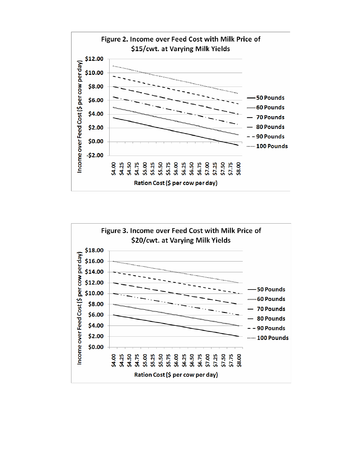